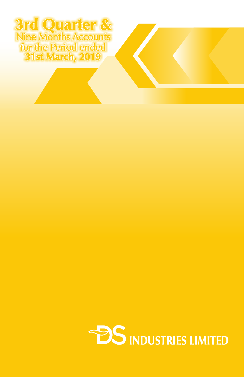## **31st March, 2019 3rd Quarter &**  Nine Months Accounts for the Period ended

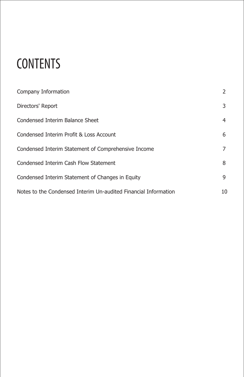# **CONTENTS**

| Company Information                                             | 2  |
|-----------------------------------------------------------------|----|
| Directors' Report                                               | 3  |
| Condensed Interim Balance Sheet                                 | 4  |
| Condensed Interim Profit & Loss Account                         | 6  |
| Condensed Interim Statement of Comprehensive Income             | 7  |
| Condensed Interim Cash Flow Statement                           | 8  |
| Condensed Interim Statement of Changes in Equity                | 9  |
| Notes to the Condensed Interim Un-audited Financial Information | 10 |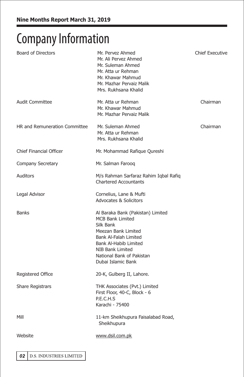## **Company Information**

| <b>Board of Directors</b>     | Mr. Pervez Ahmed<br>Mr. Ali Pervez Ahmed<br>Mr. Suleman Ahmed<br>Mr. Atta ur Rehman<br>Mr. Khawar Mahmud<br>Mr. Mazhar Pervaiz Malik<br>Mrs. Rukhsana Khalid                                                                     | <b>Chief Executive</b> |
|-------------------------------|----------------------------------------------------------------------------------------------------------------------------------------------------------------------------------------------------------------------------------|------------------------|
| <b>Audit Committee</b>        | Mr. Atta ur Rehman<br>Mr. Khawar Mahmud<br>Mr. Mazhar Pervaiz Malik                                                                                                                                                              | Chairman               |
| HR and Remuneration Committee | Mr. Suleman Ahmed<br>Mr. Atta ur Rehman<br>Mrs. Rukhsana Khalid                                                                                                                                                                  | Chairman               |
| Chief Financial Officer       | Mr. Mohammad Rafique Qureshi                                                                                                                                                                                                     |                        |
| Company Secretary             | Mr. Salman Farooq                                                                                                                                                                                                                |                        |
| Auditors                      | M/s Rahman Sarfaraz Rahim Iqbal Rafiq<br><b>Chartered Accountants</b>                                                                                                                                                            |                        |
| Legal Advisor                 | Cornelius, Lane & Mufti<br><b>Advocates &amp; Solicitors</b>                                                                                                                                                                     |                        |
| <b>Banks</b>                  | Al Baraka Bank (Pakistan) Limited<br><b>MCB Bank Limited</b><br>Silk Bank<br>Meezan Bank Limited<br>Bank Al-Falah Limited<br><b>Bank Al-Habib Limited</b><br>NIB Bank Limited<br>National Bank of Pakistan<br>Dubai Islamic Bank |                        |
| <b>Registered Office</b>      | 20-K, Gulberg II, Lahore.                                                                                                                                                                                                        |                        |
| Share Registrars              | THK Associates (Pvt.) Limited<br>First Floor, 40-C, Block - 6<br>P.E.C.H.S<br>Karachi - 75400                                                                                                                                    |                        |
| Mill                          | 11-km Sheikhupura Faisalabad Road,<br>Sheikhupura                                                                                                                                                                                |                        |
| Website                       | www.dsil.com.pk                                                                                                                                                                                                                  |                        |
|                               |                                                                                                                                                                                                                                  |                        |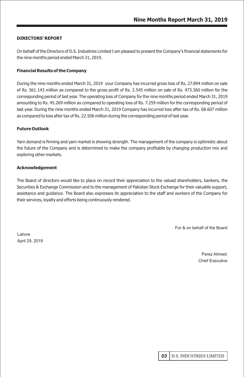#### **DIRECTORS' REPORT**

On behalf of the Directors of D.S. Industries Limited I am pleased to present the Company's financial statements for the nine months period ended March 31, 2019.

#### **Financial Results of the Company**

During the nine months ended March 31, 2019 your Company has incurred gross loss of Rs. 27.894 million on sale of Rs. 561.143 million as compared to the gross profit of Rs. 2.545 million on sale of Rs. 473.360 million for the corresponding period of last year. The operating loss of Company for the nine months period ended March 31, 2019 amounting to Rs. 45.269 million as compared to operating loss of Rs. 7.259 million for the corresponding period of last year. During the nine months ended March 31, 2019 Company has incurred loss after tax of Rs. 68.607 million as compared to loss after tax of Rs. 22.506 million during the corresponding period of last year.

#### **Future Outlook**

Yarn demand is firming and yarn market is showing strength. The management of the company is optimistic about the future of the Company and is determined to make the company profitable by changing production mix and exploring other markets.

#### **Acknowledgement**

The Board of directors would like to place on record their appreciation to the valued shareholders, bankers, the Securities & Exchange Commission and to the management of Pakistan Stock Exchange for their valuable support, assistance and guidance. The Board also expresses its appreciation to the staff and workers of the Company for their services, loyalty and efforts being continuously rendered.

For & on behalf of the Board

Lahore April 29, 2019

> Perez Ahmed Chief Executive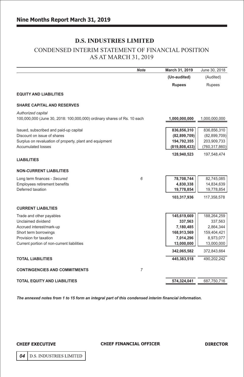## CONDENSED INTERIM STATEMENT OF FINANCIAL POSITION AS AT MARCH 31, 2019

|                                                                         | <b>Note</b>    | March 31, 2019  | June 30, 2018   |
|-------------------------------------------------------------------------|----------------|-----------------|-----------------|
|                                                                         |                | (Un-audited)    | (Audited)       |
|                                                                         |                | <b>Rupees</b>   | Rupees          |
| <b>EQUITY AND LIABILITIES</b>                                           |                |                 |                 |
| <b>SHARE CAPITAL AND RESERVES</b>                                       |                |                 |                 |
| Authorized capital                                                      |                |                 |                 |
| 100,000,000 (June 30, 2018: 100,000,000) ordinary shares of Rs. 10 each |                | 1,000,000,000   | 1,000,000,000   |
| Issued, subscribed and paid-up capital                                  |                | 836,856,310     | 836,856,310     |
| Discount on issue of shares                                             |                | (82, 899, 709)  | (82, 899, 709)  |
| Surplus on revaluation of property, plant and equipment                 |                | 194,792,355     | 203,909,733     |
| Accumulated losses                                                      |                | (819, 808, 433) | (760, 317, 860) |
|                                                                         |                | 128,940,523     | 197,548,474     |
| <b>LIABILITIES</b>                                                      |                |                 |                 |
| <b>NON-CURRENT LIABILITIES</b>                                          |                |                 |                 |
| Long term finances - Secured                                            | 6              | 78,708,744      | 82,745,085      |
| Employees retirement benefits                                           |                | 4,830,338       | 14,834,639      |
| Deferred taxation                                                       |                | 19,778,854      | 19,778,854      |
|                                                                         |                | 103,317,936     | 117,358,578     |
| <b>CURRENT LIABILTIES</b>                                               |                |                 |                 |
| Trade and other payables                                                |                | 145,619,669     | 188,264,259     |
| Unclaimed dividend                                                      |                | 337,563         | 337,563         |
| Accrued interest/mark-up                                                |                | 7,180,485       | 2,864,344       |
| Short term borrowings                                                   |                | 168,913,569     | 159,404,421     |
| Provision for taxation                                                  |                | 7,014,296       | 8,973,077       |
| Current portion of non-current liabilities                              |                | 13,000,000      | 13,000,000      |
|                                                                         |                | 342,065,582     | 372,843,664     |
| <b>TOTAL LIABILITIES</b>                                                |                | 445,383,518     | 490,202,242     |
| <b>CONTINGENCIES AND COMMITMENTS</b>                                    | $\overline{7}$ |                 |                 |
| TOTAL EQUITY AND LIABILITIES                                            |                | 574.324.041     | 687,750,716     |

*The annexed notes from 1 to 15 form an integral part of this condensed interim financial information.*

#### **CHIEF EXECUTIVE**

#### **CHIEF FINANCIAL OFFICER**

04 | D.S. INDUSTRIES LIMITED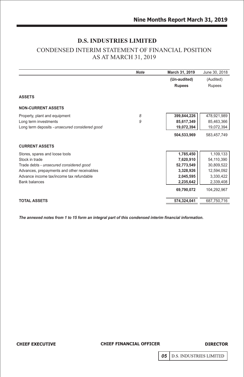## CONDENSED INTERIM STATEMENT OF FINANCIAL POSITION AS AT MARCH 31, 2019

|                                                | <b>Note</b> | March 31, 2019 | June 30, 2018 |
|------------------------------------------------|-------------|----------------|---------------|
|                                                |             | (Un-audited)   | (Audited)     |
|                                                |             | <b>Rupees</b>  | Rupees        |
| <b>ASSETS</b>                                  |             |                |               |
| <b>NON-CURRENT ASSETS</b>                      |             |                |               |
| Property, plant and equipment                  | 8           | 399,844,226    | 478,921,989   |
| Long term investments                          | 9           | 85,617,349     | 85,463,366    |
| Long term deposits - unsecured considered good |             | 19,072,394     | 19,072,394    |
|                                                |             | 504,533,969    | 583,457,749   |
| <b>CURRENT ASSETS</b>                          |             |                |               |
| Stores, spares and loose tools                 |             | 1,785,450      | 1,109,133     |
| Stock in trade                                 |             | 7,620,910      | 54,110,390    |
| Trade debts - unsecured considered good        |             | 52,773,549     | 30,809,522    |
| Advances, prepayments and other receivables    |             | 3,328,926      | 12,594,092    |
| Advance income tax/income tax refundable       |             | 2,045,595      | 3,330,422     |
| <b>Bank balances</b>                           |             | 2,235,642      | 2,339,408     |
|                                                |             | 69,790,072     | 104,292,967   |
| <b>TOTAL ASSETS</b>                            |             | 574,324,041    | 687,750,716   |

*The annexed notes from 1 to 15 form an integral part of this condensed interim financial information.*

**CHIEF EXECUTIVE** 

#### **CHIEF FINANCIAL OFFICER**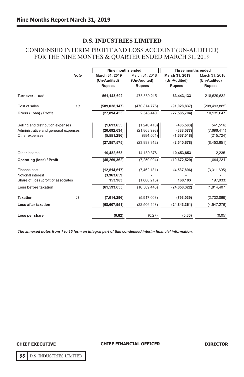## CONDENSED INTERIM PROFIT AND LOSS ACCOUNT (UN-AUDITED) FOR THE NINE MONTHS & QUARTER ENDED MARCH 31, 2019

|                 |                               | Three months ended                                 |                          |
|-----------------|-------------------------------|----------------------------------------------------|--------------------------|
| March 31, 2019  | March 31, 2018                | March 31, 2019                                     | March 31, 2018           |
| (Un-Audited)    | (Un-Audited)                  | (Un-Audited)                                       | (Un-Audited)             |
| <b>Rupees</b>   | <b>Rupees</b>                 | <b>Rupees</b>                                      | <b>Rupees</b>            |
| 561,143,692     | 473,360,215                   | 63,443,133                                         | 218,629,532              |
| (589, 038, 147) | (470, 814, 775)               | (91, 028, 837)                                     | (208, 493, 885)          |
| (27, 894, 455)  | 2,545,440                     | (27, 585, 704)                                     | 10.135.647               |
|                 |                               |                                                    | (541, 516)               |
|                 |                               |                                                    | (7,696,411)              |
| (5,551,286)     | (884, 504)                    | (1,667,018)                                        | (215, 724)               |
| (27, 857, 575)  | (23,993,912)                  | (2,540,678)                                        | (8,453,651)              |
| 10,482,668      | 14, 189, 378                  | 10,453,853                                         | 12,235                   |
| (45, 269, 362)  | (7, 259, 094)                 | (19,672,529)                                       | 1,694,231                |
| (12, 514, 617)  | (7, 462, 131)                 | (4,537,896)                                        | (3,311,605)              |
| (3,963,659)     |                               |                                                    |                          |
| 153,983         | (1,868,215)                   | 160,103                                            | (197, 033)               |
| (61, 593, 655)  | (16, 589, 440)                | (24,050,322)                                       | (1,814,407)              |
| (7,014,296)     | (5,917,003)                   | (793, 039)                                         | (2,732,869)              |
| (68, 607, 951)  | (22, 506, 443)                | (24, 843, 361)                                     | (4, 547, 276)            |
| (0.82)          | (0.27)                        | (0.30)                                             | (0.05)                   |
|                 | (1,613,655)<br>(20, 692, 634) | Nine months ended<br>(1, 240, 410)<br>(21,868,998) | (485, 583)<br>(388, 077) |

*The annexed notes from 1 to 15 form an integral part of this condensed interim financial information.*

#### **CHIEF EXECUTIVE**

#### **CHIEF FINANCIAL OFFICER**

**DIRECTOR** 

06 | D.S. INDUSTRIES LIMITED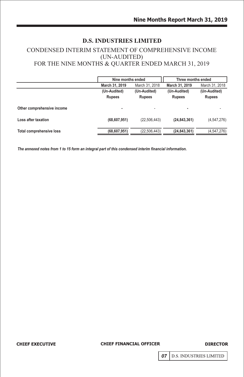## CONDENSED INTERIM STATEMENT OF COMPREHENSIVE INCOME (UN-AUDITED) FOR THE NINE MONTHS & QUARTER ENDED MARCH 31, 2019

|                                 | Nine months ended             |                               | Three months ended            |                               |
|---------------------------------|-------------------------------|-------------------------------|-------------------------------|-------------------------------|
|                                 | March 31, 2019                | March 31, 2018                | March 31, 2019                | March 31, 2018                |
|                                 | (Un-Audited)<br><b>Rupees</b> | (Un-Audited)<br><b>Rupees</b> | (Un-Audited)<br><b>Rupees</b> | (Un-Audited)<br><b>Rupees</b> |
| Other comprehensive income      | ۰                             | ٠                             | ۰                             |                               |
| Loss after taxation             | (68, 607, 951)                | (22, 506, 443)                | (24, 843, 361)                | (4, 547, 276)                 |
| <b>Total comprehensive loss</b> | (68, 607, 951)                | (22,506,443)                  | (24, 843, 361)                | (4,547,276)                   |

*The annexed notes from 1 to 15 form an integral part of this condensed interim financial information.*

**CHIEF EXECUTIVE** 

**CHIEF FINANCIAL OFFICER**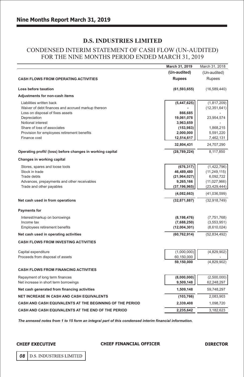## CONDENSED INTERIM STATEMENT OF CASH FLOW (UN-AUDITED) FOR THE NINE MONTHS PERIOD ENDED MARCH 31, 2019

|                                                                            | March 31, 2019          | March 31, 2018         |
|----------------------------------------------------------------------------|-------------------------|------------------------|
|                                                                            | (Un-audited)            | (Un-audited)           |
| <b>CASH FLOWS FROM OPERATING ACTIVITIES</b>                                | <b>Rupees</b>           | <b>Rupees</b>          |
| Loss before taxation                                                       | (61, 593, 655)          | (16, 589, 440)         |
| Adjustments for non-cash items                                             |                         |                        |
| Liabilities written back                                                   | (5, 447, 625)           | (1, 817, 209)          |
| Waiver of debt finances and accrued markup thereon                         |                         | (12, 351, 641)         |
| Loss on disposal of fixes assets                                           | 866,685                 |                        |
| Depreciation                                                               | 19,061,078              | 23,954,574             |
| Notional interest                                                          | 3,963,659               |                        |
| Share of loss of associates<br>Provision for employees retirement benefits | (153, 983)<br>2,000,000 | 1,868,215<br>5,591,220 |
| Finance cost                                                               | 12,514,617              | 7,462,131              |
|                                                                            | 32,804,431              | 24,707,290             |
| Operating profit/ (loss) before changes in working capital                 | (28, 789, 224)          | 8,117,850              |
| Changes in working capital                                                 |                         |                        |
| Stores, spares and loose tools                                             | (676, 317)              | (1,422,796)            |
| Stock in trade                                                             | 46,489,480              | (11, 249, 115)         |
| Trade debts                                                                | (21, 964, 027)          | 6,092,722              |
| Advances, prepayments and other receivables                                | 9,265,166               | (11,027,966)           |
| Trade and other payables                                                   | (37, 196, 965)          | (23, 429, 444)         |
|                                                                            | (4,082,663)             | (41,036,599)           |
| Net cash used in from operations                                           | (32, 871, 887)          | (32,918,749)           |
| <b>Payments for</b>                                                        |                         |                        |
| Interest/markup on borrowings                                              | (8, 198, 476)           | (7, 751, 768)          |
| Income tax                                                                 | (7,688,250)             | (3, 553, 951)          |
| Employees retirement benefits                                              | (12,004,301)            | (8,610,024)            |
| Net cash used in operating activities                                      | (60, 762, 914)          | (52, 834, 492)         |
| <b>CASH FLOWS FROM INVESTING ACTIVITIES</b>                                |                         |                        |
| Capital expenditure                                                        | (1,000,000)             | (4,829,902)            |
| Proceeds from disposal of assets                                           | 60,150,000              |                        |
|                                                                            | 59,150,000              | (4,829,902)            |
| <b>CASH FLOWS FROM FINANCING ACTIVITIES</b>                                |                         |                        |
| Repayment of long term finances                                            | (8,000,000)             | (2,500,000)            |
| Net increase in short term borrowings                                      | 9,509,148               | 62,248,297             |
| Net cash generated from financing activities                               | 1,509,148               | 59,748,297             |
| <b>NET INCREASE IN CASH AND CASH EQUIVALENTS</b>                           | (103, 766)              | 2,083,903              |
| CASH AND CASH EQUIVALENTS AT THE BEGINNING OF THE PERIOD                   | 2,339,408               | 1,098,720              |
| CASH AND CASH EQUIVALENTS AT THE END OF THE PERIOD                         | 2,235,642               | 3,182,623              |

*The annexed notes from 1 to 15 form an integral part of this condensed interim financial information.*

**CHIEF EXECUTIVE** 

#### **CHIEF FINANCIAL OFFICER**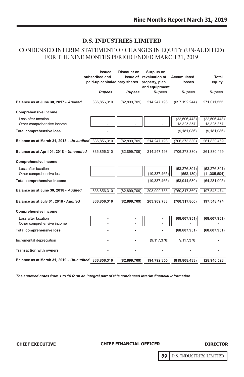## CONDENSED INTERIM STATEMENT OF CHANGES IN EQUITY (UN-AUDITED) FOR THE NINE MONTHS PERIOD ENDED MARCH 31, 2019

|                                                       | <b>Issued</b><br>subscribed and<br>paid-up capitabrdinary shares | Discount on    | Surplus on<br>issue of revaluation of<br>property, plan<br>and equiptment | Accumulated<br>losses        | Total<br>equity                |
|-------------------------------------------------------|------------------------------------------------------------------|----------------|---------------------------------------------------------------------------|------------------------------|--------------------------------|
|                                                       | <b>Rupees</b>                                                    | <b>Rupees</b>  | <b>Rupees</b>                                                             | <b>Rupees</b>                | <b>Rupees</b>                  |
| Balance as at June 30, 2017 - Audited                 | 836,856,310                                                      | (82,899,709)   | 214,247,198                                                               | (697, 192, 244)              | 271,011,555                    |
| <b>Comprehensive income</b>                           |                                                                  |                |                                                                           |                              |                                |
| Loss after taxation<br>Other comprehensive income     |                                                                  |                |                                                                           | (22, 506, 443)<br>13,325,357 | (22, 506, 443)<br>13,325,357   |
| <b>Total comprehensive loss</b>                       |                                                                  |                |                                                                           | (9, 181, 086)                | (9, 181, 086)                  |
| Balance as at March 31, 2018 - Un-audited 836,856,310 |                                                                  | (82, 899, 709) | 214,247,198                                                               | (706, 373, 330)              | 261,830,469                    |
| Balance as at April 01, 2018 - Un-audited             | 836,856,310                                                      | (82,899,709)   | 214,247,198                                                               | (706, 373, 330)              | 261,830,469                    |
| <b>Comprehensive income</b>                           |                                                                  |                |                                                                           |                              |                                |
| Loss after taxation<br>Other comprehensive loss       |                                                                  |                | (10, 337, 465)                                                            | (53, 276, 391)<br>(668, 139) | (53, 276, 391)<br>(11,005,604) |
| Total comprehensive income                            |                                                                  |                | (10, 337, 465)                                                            | (53,944,530)                 | (64, 281, 995)                 |
| Balance as at June 30, 2018 - Audited                 | 836,856,310                                                      | (82, 899, 709) | 203,909,733                                                               | (760, 317, 860)              | 197,548,474                    |
| Balance as at July 01, 2018 - Audited                 | 836,856,310                                                      | (82, 899, 709) | 203,909,733                                                               | (760, 317, 860)              | 197,548,474                    |
| <b>Comprehensive income</b>                           |                                                                  |                |                                                                           |                              |                                |
| Loss after taxation<br>Other comprehensive income     |                                                                  |                |                                                                           | (68, 607, 951)               | (68, 607, 951)                 |
| <b>Total comprehensive loss</b>                       |                                                                  |                |                                                                           | (68, 607, 951)               | (68, 607, 951)                 |
| Incremental depreciation                              |                                                                  |                | (9, 117, 378)                                                             | 9,117,378                    |                                |
| <b>Transaction with owners</b>                        |                                                                  |                |                                                                           |                              |                                |
| Balance as at March 31, 2019 - Un-audited 836,856,310 |                                                                  | (82, 899, 709) | 194,792,355                                                               | (819, 808, 433)              | 128,940,523                    |

 *The annexed notes from 1 to 15 form an integral part of this condensed interim financial information.*

**CHIEF EXECUTIVE** 

## **CHIEF FINANCIAL OFFICER**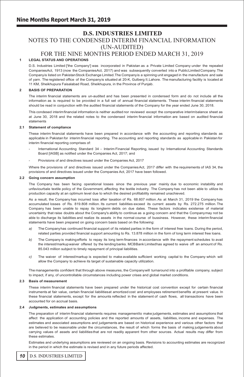## **D.S. INDUSTRIES LIMITED** NOTES TO THE CONDENSED INTERIM FINANCIAL INFORMATION (UN-AUDITED)

## FOR THE NINE MONTHS PERIOD ENDED MARCH 31, 2019

#### **1 LEGAL STATUS AND OPERATIONS**

D.S. Industries Limited ['the Company'] was incorporated in Pakistan as a Private Limited Company under the repealed CompaniesAct, 1913 (now the CompaniesAct, 2017) and was subsequently converted into a PublicLimited Company. The Companyis listed on PakistanStock Exchange Limited.The Companyis a spinning unit engaged in the manufacture and sale of yarn. The registered office of the Companyis situated at 20-K, Gulberg II,Lahore. The manufacturing facility is located at 11 KM, Sheikhupura Faisalabad Road, Sheikhupura, in the Province of Punjab.

#### **2 BASIS OF PREPARATION**

The interim financial statements are un-audited and has been presented in condensed form and do not include all the information as is required to be provided in a full set of annual financial statements. These interim financial statements should be read in conjunction with the audited financial statements of the Company for the year ended June 30, 2018.

This condesed interimfinancial information is neither audited nor reviewed except the comparative interimbalance sheet as at June 30, 2018 and the related notes to the condensed interim financial information are based on audited financial statements

#### **2.1 Statement of compliance**

These interim financial statements have been prepared in accordance with the accounting and reporting standards as applicable in Pakistan for interim financial reporting. The accounting and reporting standards as applicable in Pakistan for interim financial reporting comprises of:

- International Accounting Standard 34 - Interim Financial Reporting, issued by International Accounting Standards Board [IASB] as notified under the Companies Act, 2017; and
- Provisions of and directives issued under the Companies Act, 2017

Where the provisions of and directives issued under the Companies Act, 2017 differ with the requirements of IAS 34, the provisions of and directives issued under the Companies Act, 2017 have been followed.

#### **2.2 Going concern assumption**

The Company has been facing operational losses since the previous year mainly due to economic instability and unfaviourbale textile policy of the Government, affecting the textile industry. The Company has not been able to utilize its production capacity at an optimum level due to which the desired profitability remained unachieved.

As a result, the Company has incurred loss after taxation of Rs. 68.607 million.As at March 31, 2019 the Company has accumulated losses of Rs. 819.808 million. Its current liabilities exceed its current assets by Rs. 272.275 million. The Company has been unable to repay its longterm debts on due dates. These factors indicates existense of material uncertainty that raise doubts about the Company's ability to continue as a going concern and that the Companymay not be able to discharge its liabilities and realize its assets in the normal course of bussiness. However, these interim financial statements have been prepared on going concern basis based on the following:

- *a)* The Companyhas continued financial support of its related parties in the form of interest free loans. During the period, related parties provided financial support amounting to Rs. 13.878 million in the form of long term interest free loans.
- *b)* The Company is making efforts to repay its long term finances in accordance with the repayment schedules to avail the interest/markupwaiver offered by the lending banks. MCBBank Limitedhas agreed to waive off an amount of Rs. 85.043 million subject to timely repayment of principal liabilities.
- *c)* The waiver of interest/markup is expected to make available sufficient working capital to the Company which will allow the Company to achieve its target of sustainable capacity utilization.

The managementis confident that through above measures, the Companywill turnaround into a profitable company, subject to impact, if any, of uncontrollable circumstances including power crises and global market conditions.

#### **2.3 Basis of measurement**

These interim financial statements have been prepared under the historical cost convention except for certain financial instruments at fair value, certain financial liabilitiesat amortized cost and employees retirementbenefits at present value. In these financial statements, except for the amounts reflected in the statement of cash flows, all transactions have been accounted for on accrual basis.

#### **2.4 Judgments, estimates and assumptions**

The preparation of interim financial statements requires managementto make judgements, estimates and assumptions that affect the application of accounting policies and the reported amounts of assets, liabilities, income and expenses. The estimates and associated assumptions and judgements are based on historical experience and various other factors that are believed to be reasonable under the circumstances, the result of which forms the basis of making judgements about carrying values of assets and liabilities that are not readily apparent from other sources. Actual results may differ from these estimates.

Estimates and underlying assumptions are reviewed on an ongoing basis. Revisions to accounting estimates are recognized in the period in which the estimate is revised and in any future periods affected.

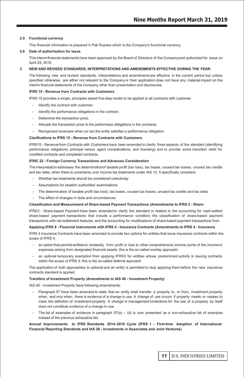#### **2.5 Functional currency**

This financial information is prepared in Pak Rupees which is the Company's functional currency.

#### **2.6 Date of authorisation for issue**

This interimfinancial statements have been approved by the Board of Directors of the Companyand authorized for issue on April 29, 2019.

#### **3 NEW AND REVISED STANDARDS, INTERPRETATIONS AND AMENDMENTS EFFECTIVE DURING THE YEAR.**

The following new and revised standards, interpretations and amendmentsare effective in the current period but, unless specified otherwise, are either not relevant to the Company or their application does not have any material impact on the interim financial statements of the Company other than presentation and disclosures.

#### **IFRS 15 - Revenue from Contracts with Customers**

IFRS 15 provides a single, principles based five-step model to be applied to all contracts with customer.

- Identify the contract with customer.
- Identify the performance obligations in the contract.
- Determine the transaction price.
- Allocate the transaction price to the performace obligations in the contracts.
- Recognized revenuew when (or as) the entity satisfies a performance obligation.

#### **Clarifications to IFRS 15 - Revenue from Contracts with Customers**

IFRS15 - Revenue from Contracts with Customers have been amended to clarify three aspects of the standard (identifying performance obligations, principal versus agent considerations, and licensing) and to provide some transition relief for modified contracts and completed contracts.

#### **IFRIC 22 - Foreign Currency Transactions and Advances Consideration**

The interpretation addresses the determinationof taxable profit (tax loss), tax bases, unused tax losses, unused tax credits and tax rates, when there is uncertainty over income tax treatments under IAS 12. It specifically considers:

- Whether tax treatments should be considered collectively
- Assumptions for taxation authorities' examinations
- The determination of taxable profit (tax loss), tax bases, unused tax losses, unused tax credits and tax rates
- The effect of changes in facts and circumstances

#### **Classification and Measurement of Share-based Payment Transactions (Amendments to IFRS 2 - Share-**

IFRS2 - Share-based Payment have been amended to clarify the standard in relation to the accounting for cash-settled share-based payment transactions that include a performance condition, the classification of share-based payment transactions with net settlement features, and the accounting for modifications of share-based payment transactions from

#### **Applying IFRS 9 - Financial Instruments with IFRS 4 - Insurance Contracts (Amendments to IFRS 4 - Insurance**

IFRS 4 Insurance Contracts have been amended to provide two options for entities that issue insurance contracts within the scope of IFRS 4:

- an option that permits entities to reclassify, from profit or loss to other comprehensive income, some of the income or expenses arising from designated financial assets; this is the so-called overlay approach;
- an optional temporary exemption from applying IFRS9 for entities whose predominant activity is issuing contracts within the scope of IFRS 4; this is the so-called deferral approach

The application of both approaches is optional and an entity is permitted to stop applying them before the new insurance contracts standard is applied.

#### **Transfers of Investment Property (Amendments to IAS 40 - Investment Property)**

IAS 40 - Investment Property have following amendments:

- Paragraph 57 have been amended to state that an entity shall transfer a property to, or from, investment property when, and only when, there is evidence of a change in use. A change of use occurs if property meets, or ceases to meet, the definition of investment property. A change in management'sintentions for the use of a property by itself does not constitute evidence of a change in use.
- The list of examples of evidence in paragraph  $57(a) - (d)$  is now presented as a non-exhaustive list of examples instead of the previous exhaustive list.

#### **Annual Improvements to IFRS Standards 2014–2016 Cycle (IFRS 1 - First-time Adoption of International Financial Reporting Standards and IAS 28 - Investments in Associates and Joint Ventures)**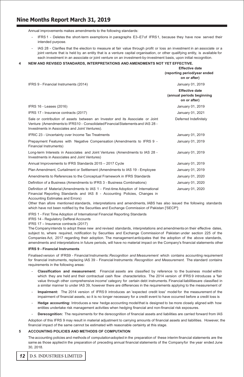## rt a N M e M 3 2 **Nine Months Report March 31, 2019**

Annual improvements makes amendments to the following standards:

- IFRS 1 - Deletes the short-term exemptions in paragraphs E3–E7of IFRS1, because they have now served their intended purpose.
- IAS 28 - Clarifies that the election to measure at fair value through profit or loss an investment in an associate or a joint venture that is held by an entity that is a venture capital organisation, or other qualifying entity, is available for each investment in an associate or joint venture on an investment-by-investment basis, upon initial recognition.
- **4 NEW AND REVISED STANDARDS, INTERPRETATIONS AND AMENDMENTS NOT YET EFFECTIVE.**

|                                                                                                                                                                                                                   | <b>Effective date</b><br>(reporting period/year ended<br>on or after) |
|-------------------------------------------------------------------------------------------------------------------------------------------------------------------------------------------------------------------|-----------------------------------------------------------------------|
| IFRS 9 - Financial Instruments (2014)                                                                                                                                                                             | January 01, 2019                                                      |
|                                                                                                                                                                                                                   | <b>Effective date</b><br>(annual periods beginning<br>on or after)    |
| IFRS 16 - Leases (2016)                                                                                                                                                                                           | January 01, 2019                                                      |
| IFRS 17 - Insurance contracts (2017)                                                                                                                                                                              | January 01, 2021                                                      |
| Sale or contribution of assets between an Investor and its Associate or Joint<br>Venture (Amendments to IFRS10 - Consolidated Financial Statements and IAS 28 -<br>Investments in Associates and Joint Ventures). | Deferred Indefinitely                                                 |
| IFRIC 23 - Uncertainty over Income Tax Treatments                                                                                                                                                                 | January 01, 2019                                                      |
| Prepayment Features with Negative Compensation (Amendments to IFRS 9 -<br>Financial Instruments)                                                                                                                  | January 01, 2019                                                      |
| Long-term Interests in Associates and Joint Ventures (Amendments to IAS 28 -<br>Investments in Associates and Joint Ventures)                                                                                     | January 01, 2019                                                      |
| Annual Improvements to IFRS Standards 2015 - 2017 Cycle                                                                                                                                                           | January 01, 2019                                                      |
| Plan Amendment, Curtailment or Settlement (Amendments to IAS 19 - Employee                                                                                                                                        | January 01, 2019                                                      |
| Amendments to References to the Conceptual Framework in IFRS Standards                                                                                                                                            | January 01, 2020                                                      |
| Definition of a Business (Amendments to IFRS 3 - Business Combinations)                                                                                                                                           | January 01, 2020                                                      |
| Definition of Material (Amendments to IAS 1 - First-time Adoption of International<br>Financial Reporting Standards and IAS 8 - Accounting Policies, Changes in                                                   | January 01, 2020                                                      |

Accounting Estimates and Errors)

Other than afore mentioned standards, interpretations and amendments, IABS has also issued the following standards which have not been notified by the Securities and Exchange Commission of Pakistan ['SECP']:

IFRS 1 - First Time Adoption of International Financial Reporting Standards

IFRS 14 - Regulatory Defferal Accounts

IFRS 17 – Insurance contracts (2017)

The Companyintends to adopt these new and revised standards, interpretations and amendmentson their effective dates, subject to, where required, notification by Securities and Exchange Commissionof Pakistan under section 225 of the Companies Act, 2017 regarding their adoption. The management anticipates that the adoption of the above standards, amendments and interpretations in future periods, will have no material impact on the Company's financial statements other

#### **IFRS 9 - Financial Instruments**

Finalised version of IFRS9 - Financial Instruments:*Recognition and Measurement* which contains accounting requirement for financial instruments, replacing IAS 39 - Financial Instruments: *Recognition and Measurement.* The standard contains requirements in the following areas:

- **Classification and measurement:** Financial assets are classified by reference to the business model within which they are held and their contractual cash flow characteristics. The 2014 version of IFRS 9 introduces a 'fair value through other comprehensive income' category for certain debt instruments. Financial liabilitiesare classified in a similar manner to under IAS 39, however there are differences in the requirements applying to the measurement of
- **Impairment:** The 2014 version of IFRS 9 introduces an 'expected credit loss' model for the measurement of the impairment of financial assets, so it is no longer necessary for a credit event to have occurred before a credit loss is
- **Hedge accounting:** Introduces a new hedge accounting modelthat is designed to be more closely aligned with how entities undertake risk management activities when hedging financial and non-financial risk exposures.
- **Derecognition:** The requirements for the derecognition of financial assets and liabilities are carried forward from IAS

Adoption of this IFRS 9 may result in material adjustment to carrying amounts of financial assets and liabilities. However, the financial impact of the same cannot be estimated with reasonable certainty at this stage.

#### **5 ACCOUNTING POLICIES AND METHODS OF COMPUTATION**

The accounting policies and methods of computationadopted in the preparation of these interim financial statements are the same as those appliedin the preparation of preceding annual financial statements of the Companyfor the year ended June 30, 2018.

#### $12$ **D.S. INDUSTRIES LIMITED**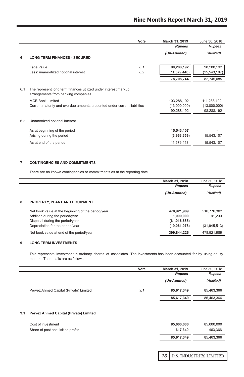|     |                                                                                                                                                                                                               | <b>Note</b> | March 31, 2019                            | June 30, 2018                             |
|-----|---------------------------------------------------------------------------------------------------------------------------------------------------------------------------------------------------------------|-------------|-------------------------------------------|-------------------------------------------|
|     |                                                                                                                                                                                                               |             | <b>Rupees</b>                             | Rupees                                    |
| 6   | <b>LONG TERM FINANCES - SECURED</b>                                                                                                                                                                           |             | (Un-Audited)                              | (Audited)                                 |
|     | Face Value<br>Less: unamortized notional interest                                                                                                                                                             | 6.1<br>6.2  | 90,288,192<br>(11, 579, 448)              | 98,288,192<br>(15, 543, 107)              |
|     |                                                                                                                                                                                                               |             | 78,708,744                                | 82,745,085                                |
| 6.1 | The represent long term finances utilized under interest/markup<br>arrangements from banking companies<br><b>MCB Bank Limited</b><br>Current maturity and overdue amounts presented under current liabilities |             | 103,288,192<br>(13,000,000)<br>90,288,192 | 111,288,192<br>(13,000,000)<br>98,288,192 |
| 6.2 | Unamortized notional interest                                                                                                                                                                                 |             |                                           |                                           |
|     | As at beginning of the period<br>Arising during the period                                                                                                                                                    |             | 15,543,107<br>(3,963,659)                 | 15,543,107                                |
|     | As at end of the period                                                                                                                                                                                       |             | 11,579,448                                | 15,543,107                                |
|     |                                                                                                                                                                                                               |             |                                           |                                           |

#### **7 CONTINGENCIES AND COMMITMENTS**

There are no known contingencies or commitments as at the reporting date.

|   |                                                    | March 31, 2018 | June 30, 2018  |
|---|----------------------------------------------------|----------------|----------------|
|   |                                                    | <b>Rupees</b>  | Rupees         |
|   |                                                    | (Un-Audited)   | (Audited)      |
| 8 | PROPERTY, PLANT AND EQUIPMENT                      |                |                |
|   | Net book value at the beginning of the period/year | 478.921.989    | 510.776.302    |
|   | Addition during the period/year                    | 1.000.000      | 91.200         |
|   | Disposal during the period/year                    | (61,016,685)   |                |
|   | Depreciation for the period/year                   | (19,061,078)   | (31, 945, 513) |
|   | Net book value at end of the period/year           | 399.844.226    | 478.921.989    |

#### **9 LONG TERM INVESTMENTS**

 This represents investment in ordinary shares of associates. The investments has been accounted for by using equity method. The details are as follows:

|                                        | <b>Note</b> | March 31, 2019 | June 30, 2018 |
|----------------------------------------|-------------|----------------|---------------|
|                                        |             | <b>Rupees</b>  | Rupees        |
|                                        |             | (Un-Audited)   | (Audited)     |
| Pervez Ahmed Capital (Private) Limited | 9.1         | 85,617,349     | 85,463,366    |
|                                        |             | 85,617,349     | 85,463,366    |
|                                        |             |                |               |

#### **9.1 Pervez Ahmed Capital (Private) Limited**

| Cost of investment                | 85.000.000 | 85,000,000 |
|-----------------------------------|------------|------------|
| Share of post acquisition profits | 617.349    | 463.366    |
|                                   | 85.617.349 | 85.463.366 |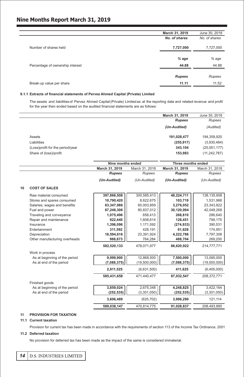## rt a N M e M 3 2 **Nine Months Report March 31, 2019**

|                                  | March 31, 2019 | June 30, 2018 |
|----------------------------------|----------------|---------------|
|                                  | No. of shares  | No. of shares |
| Number of shares held            | 7,727,000      | 7,727,000     |
|                                  |                |               |
|                                  | $%$ age        | % age         |
| Percentage of ownership interest | 44.88          | 44.88         |
|                                  |                |               |
|                                  | <b>Rupees</b>  | Rupees        |
| Break-up value per share         | 11.11          | 11.52         |
|                                  |                |               |

#### **9.1.1 Extracts of financial statements of Pervez Ahmed Capital (Private) Limited**

 The assets and liabilitiesof Pervez Ahmed Capital(Private) Limited as at the reporting date and related revenue and profit for the year then ended based on the audited financial statements are as follows:

|                                  | March 31, 2019 | June 30, 2018  |
|----------------------------------|----------------|----------------|
|                                  | <b>Rupees</b>  | Rupees         |
|                                  | (Un-Audited)   | (Audited)      |
| Assets                           | 191,028,477    | 194.359.920    |
| Liabilities                      | (255, 917)     | (3,930,464)    |
| (Loss)profit for the period/year | 343.104        | (25,051,177)   |
| Share of (loss)/profit           | 153.983        | (11, 242, 787) |

|    |                               | Nine months ended |                | Three months ended |                |
|----|-------------------------------|-------------------|----------------|--------------------|----------------|
|    |                               | March 31, 2019    | March 31, 2018 | March 31, 2019     | March 31, 2018 |
|    |                               | <b>Rupees</b>     | Rupees         | <b>Rupees</b>      | Rupees         |
|    |                               | (Un-Audited)      | (Un-Audited)   | (Un-Audited)       | (Un-Audited)   |
| 10 | <b>COST OF SALES</b>          |                   |                |                    |                |
|    | Raw material consumed         | 397,866,508       | 300,585,413    | 48,224,711         | 138,135,908    |
|    | Stores and spares consumed    | 10,790,420        | 8,622,675      | 103,719            | 1,531,968      |
|    | Salaries, wages and benefits  | 63,347,986        | 60,003,859     | 3,276,052          | 23,343,822     |
|    | Fuel and power                | 87,246,306        | 80,837,012     | 30,120,994         | 42,048,268     |
|    | Traveling and conveyance      | 1,075,496         | 658.413        | 268.810            | 286,640        |
|    | Repair and maintenance        | 922,440           | 1,608,614      | 128,451            | 799,175        |
|    | Insurance                     | 1,396,096         | 1,171,592      | (274, 933)         | 390,531        |
|    | Entertainment                 | 311,592           | 428,191        | 61,628             | 174,951        |
|    | Depreciation                  | 18,594,616        | 23,391,924     | 4,222,786          | 7,797,308      |
|    | Other manufacturing overheads | 968,673           | 764,284        | 488,704            | 269,200        |
|    |                               | 582.520.133       | 478.071.977    | 86.620.922         | 214.777.771    |
|    | Work in process               |                   |                |                    |                |
|    | As at beginning of the period | 9,999,900         | 12,868,500     | 7,500,000          | 13,095,000     |
|    | As at end of the period       | (7,088,375)       | (19,500,000)   | (7,088,375)        | (19,500,000)   |
|    |                               | 2,911,525         | (6,631,500)    | 411,625            | (6,405,000)    |
|    |                               | 585.431.658       | 471.440.477    | 87.032.547         | 208,372,771    |
|    | Finished goods                |                   |                |                    |                |
|    | As at beginning of the period | 3,859,024         | 2,675,348      | 4,248,825          | 3,422,164      |
|    | As at end of the period       | (252, 535)        | (3, 301, 050)  | (252, 535)         | (3,301,050)    |
|    |                               | 3,606,489         | (625, 702)     | 3,996,290          | 121,114        |
|    |                               | 589,038,147       | 470,814,775    | 91,028,837         | 208,493,885    |

### **11 PROVISION FOR TAXATION**

#### **11.1 Current taxation**

Provision for current tax has been made in accordance with the requirements of section 113 of the Income Tax Ordinance, 2001

#### **11.2 Deferred taxation**

No provision for deferred tax has been made as the impact of the same is considered immaterial.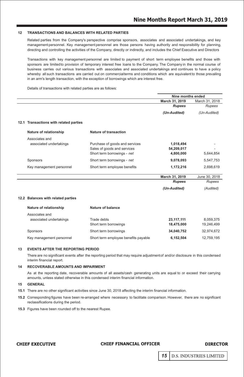#### **12 TRANSACTIONS AND BALANCES WITH RELATED PARTIES**

 Related parties from the Company's perspective comprise sponsors, associates and associated undertakings, and key management personnel. Key management personnel are those persons having authority and responsibility for planning, directing and controlling the activities of the Company, directly or indirectly, and includes the Chief Executive and Directors

whereby all such transactions are carried out on commercialterms and conditions which are equivalent to those prevailing Transactions with key management personnel are limited to payment of short term employee benefits and those with sponsors are limitedto provision of temporary interest free loans to the Company. The Company in the normal course of business carries out various transactions with associates and associated undertakings and continues to have a policy in an arm's length transaction, with the exception of borrowings which are interest free.

Details of transactions with related parties are as follows:

|                                        |                                | Nine months ended |                |
|----------------------------------------|--------------------------------|-------------------|----------------|
|                                        |                                | March 31, 2019    | March 31, 2018 |
|                                        |                                | <b>Rupees</b>     | Rupees         |
|                                        |                                | (Un-Audited)      | (Un-Audited)   |
| 12.1 Transactions with related parties |                                |                   |                |
| Nature of relationship                 | Nature of transaction          |                   |                |
| Associates and                         |                                |                   |                |
| associated undertakings                | Purchase of goods and services | 1,018,494         |                |
|                                        | Sales of goods and services    | 54,209,017        |                |
|                                        | Short term borrowings - net    | 4.800.000         | 5.644.854      |
| Sponsors                               | Short term borrowings - net    | 9.078.093         | 5.547.753      |
| Key management personnel               | Short term employee benefits   | 1,172,216         | 2,698,619      |
|                                        |                                | March 31, 2019    | June 30, 2018  |
|                                        |                                | <b>Rupees</b>     | Rupees         |
|                                        |                                | (Un-Audited)      | (Audited)      |
| 12.2 Balances with related parties     |                                |                   |                |
| Nature of relationship                 | Nature of balance              |                   |                |
| Associates and                         |                                |                   |                |
| associated undertakings                | Trade debts                    | 23,117,111        | 8,059,375      |
|                                        | Short term borrowings          | 18,475,000        | 19,246,499     |
| Sponsors                               | Short term borrowings          | 34.040.752        | 32.974.672     |

Key management personnel Short term employee benefits payable **6,152,504** 12,759,195

#### **13 EVENTS AFTER THE REPORTING PERIOD**

There are no significant events after the reporting period that may require adjustmentof and/or disclosure in this condensed interim financial report.

#### **14 RECOVERABLE AMOUNTS AND IMPAIRMENT**

As at the reporting date, recoverable amounts of all assets/cash generating units are equal to or exceed their carrying amounts, unless stated otherwise in this condensed interim financial information.

#### **15 GENERAL**

- **15.1** There are no other significant activities since June 30, 2018 affecting the interim financial information.
- **15.2** Corresponding figures have been re-arranged where necessary to facilitate comparison. However, there are no significant reclassifications during the period.
- **15.3** Figures have been rounded off to the nearest Rupee.

#### **CHIEF EXECUTIVE**

#### **CHIEF FINANCIAL OFFICER**